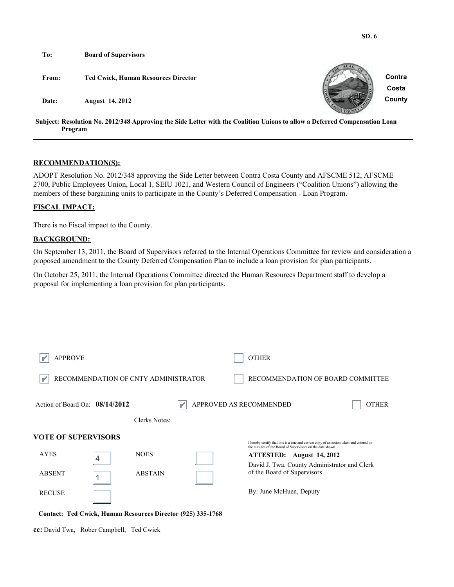| To:   | <b>Board of Supervisors</b>                                                                                                           |                 |
|-------|---------------------------------------------------------------------------------------------------------------------------------------|-----------------|
| From: | <b>Ted Cwiek, Human Resources Director</b>                                                                                            | Contra<br>Costa |
| Date: | <b>August</b> 14, 2012                                                                                                                | County          |
|       | Subject: Resolution No. 2012/348 Approving the Side Letter with the Coalition Unions to allow a Deferred Compensation Loan<br>Program |                 |

### **RECOMMENDATION(S):**

ADOPT Resolution No. 2012/348 approving the Side Letter between Contra Costa County and AFSCME 512, AFSCME 2700, Public Employees Union, Local 1, SEIU 1021, and Western Council of Engineers ("Coalition Unions") allowing the members of these bargaining units to participate in the County's Deferred Compensation - Loan Program.

### **FISCAL IMPACT:**

There is no Fiscal impact to the County.

### **BACKGROUND:**

On September 13, 2011, the Board of Supervisors referred to the Internal Operations Committee for review and consideration a proposed amendment to the County Deferred Compensation Plan to include a loan provision for plan participants.

On October 25, 2011, the Internal Operations Committee directed the Human Resources Department staff to develop a proposal for implementing a loan provision for plan participants.

| <b>APPROVE</b>                                      |   |                                      | <b>OTHER</b>                                                                                                                                                                                                                                                      |
|-----------------------------------------------------|---|--------------------------------------|-------------------------------------------------------------------------------------------------------------------------------------------------------------------------------------------------------------------------------------------------------------------|
|                                                     |   | RECOMMENDATION OF CNTY ADMINISTRATOR | RECOMMENDATION OF BOARD COMMITTEE                                                                                                                                                                                                                                 |
| Action of Board On: $08/14/2012$                    |   |                                      | APPROVED AS RECOMMENDED<br><b>OTHER</b>                                                                                                                                                                                                                           |
|                                                     |   | Clerks Notes:                        |                                                                                                                                                                                                                                                                   |
| VOTE OF SUPERVISORS<br><b>AYES</b><br><b>ABSENT</b> | 4 | <b>NOES</b><br><b>ABSTAIN</b>        | I hereby certify that this is a true and correct copy of an action taken and entered on<br>the minutes of the Board of Supervisors on the date shown.<br>ATTESTED: August 14, 2012<br>David J. Twa, County Administrator and Clerk<br>of the Board of Supervisors |
| <b>RECUSE</b>                                       |   |                                      | By: June McHuen, Deputy                                                                                                                                                                                                                                           |

**Contact: Ted Cwiek, Human Resources Director (925) 335-1768**

**cc:** David Twa, Rober Campbell, Ted Cwiek